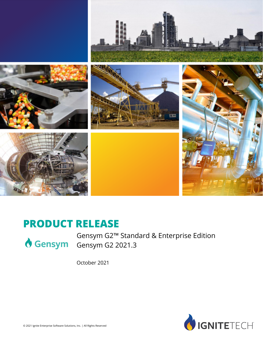

### **PRODUCT RELEASE**



Gensym G2™ Standard & Enterprise Edition Gensym Gensym G2 2021.3

October 2021

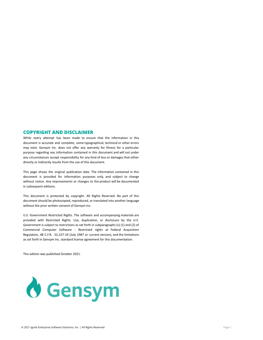#### **COPYRIGHT AND DISCLAIMER**

While every attempt has been made to ensure that the information in this document is accurate and complete, some typographical, technical or other errors may exist. Gensym Inc. does not offer any warranty for fitness for a particular purpose regarding any information contained in this document and will not under any circumstances accept responsibility for any kind of loss or damages that either directly or indirectly results from the use of this document.

This page shows the original publication date. The information contained in this document is provided for information purposes only, and subject to change without notice. Any improvements or changes to the product will be documented in subsequent editions.

This document is protected by copyright. All Rights Reserved. No part of this document should be photocopied, reproduced, or translated into another language without the prior written consent of Gensym Inc.

U.S. Government Restricted Rights. The software and accompanying materials are provided with Restricted Rights. Use, duplication, or disclosure by the U.S. Government is subject to restrictions as set forth in subparagraphs (c) (1) and (2) of Commercial Computer Software - Restricted rights at Federal Acquisition Regulation, 48 C.F.R. 52.227-19 (July 1987 or current version), and the limitations as set forth in Gensym Inc. standard license agreement for this documentation.

This edition was published October 2021.

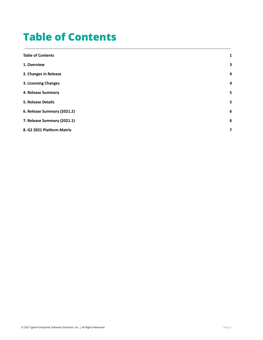### <span id="page-2-0"></span>**Table of Contents**

| <b>Table of Contents</b>    | 1 |
|-----------------------------|---|
| 1. Overview                 | 3 |
| 2. Changes in Release       | 4 |
| 3. Licensing Changes        | 4 |
| 4. Release Summary          | 5 |
| <b>5. Release Details</b>   | 5 |
| 6. Release Summary (2021.2) | 6 |
| 7. Release Summary (2021.1) | 6 |
| 8. G2 2021 Platform Matrix  | 7 |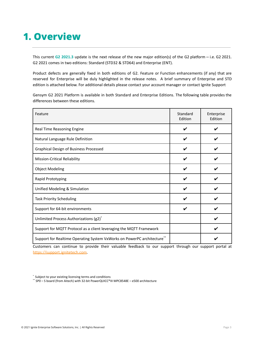### <span id="page-3-0"></span>**1. Overview**

This current **G2 2021.3** update is the next release of the new major edition(s) of the G2 platform – i.e. G2 2021. G2 2021 comes in two editions: Standard (STD32 & STD64) and Enterprise (ENT).

Product defects are generally fixed in both editions of G2. Feature or Function enhancements (if any) that are reserved for Enterprise will be duly highlighted in the release notes. A brief summary of Enterprise and STD edition is attached below. For additional details please contact your account manager or contact Ignite Support

Gensym G2 2021 Platform is available in both Standard and Enterprise Editions. The following table provides the differences between these editions.

| Feature                                                                 | Standard<br>Edition | Enterprise<br>Edition |
|-------------------------------------------------------------------------|---------------------|-----------------------|
| Real Time Reasoning Engine                                              | V                   |                       |
| Natural Language Rule Definition                                        |                     |                       |
| Graphical Design of Business Processed                                  |                     |                       |
| Mission-Critical Reliability                                            |                     |                       |
| <b>Object Modeling</b>                                                  |                     |                       |
| Rapid Prototyping                                                       |                     |                       |
| Unified Modeling & Simulation                                           |                     |                       |
| <b>Task Priority Scheduling</b>                                         |                     |                       |
| Support for 64-bit environments                                         |                     |                       |
| Unlimited Process Authorizations (g2) <sup>*</sup>                      |                     |                       |
| Support for MQTT Protocol as a client leveraging the MQTT Framework     |                     |                       |
| Support for Realtime Operating System VxWorks on PowerPC architecture** |                     |                       |

Customers can continue to provide their valuable feedback to our support through our support portal at <https://support.ignitetech.com>.

\*\* SP0 – S board (from Aitech) with 32-bit PowerQUICC®III MPC8548E – e500 architecture

<sup>\*</sup> Subject to your existing licensing terms and conditions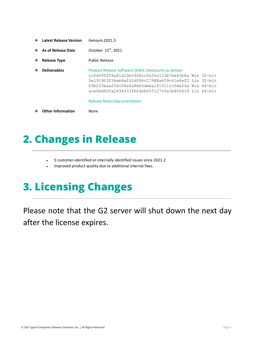- ❖ **Latest Release Version** Gensym.2021.3
- ❖ **As of Release Date** October 12 th , 2021
- ❖ **Release Type** Public Release

❖ **Deliverables** Product Release Software (SHA1 checksums as below) cc0d59f259a81d10b5958cc5c26c123b7be65b8a Win 32-bit 0e191903f36eb8ef42df86c27988a659c61e6ef2 Lin 32-bit 63b223baa254c08a6a8eb5deba161011cc0da22e Win 64-bit ace0bd60fa2434433fbfdcb655127c0a3e800414 Lin 64-bit

Release Notes Documentation

❖ **Other Information** None

### <span id="page-4-0"></span>**2. Changes in Release**

- 5 customer-identified or internally identified issues since 2021.2
- Improved product quality due to additional internal fixes.

## <span id="page-4-1"></span>**3. Licensing Changes**

Please note that the G2 server will shut down the next day after the license expires.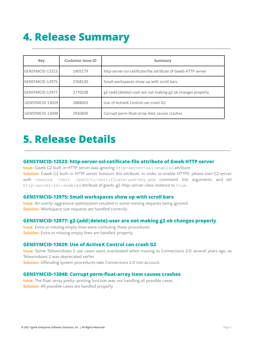## <span id="page-5-0"></span>**4. Release Summary**

| <b>Key</b>      | <b>Customer Issue ID</b> | Summary                                                       |  |  |
|-----------------|--------------------------|---------------------------------------------------------------|--|--|
| GENSYMCID-12523 | 1905179                  | http-server-ssl-cetificate-file attribute of Gweb HTTP server |  |  |
| GENSYMCID-12975 | 2768130                  | Small workspaces show up with scroll bars                     |  |  |
| GENSYMCID-12977 | 2770238                  | g2-{add   delete}-user are not making g2.ok changes properly  |  |  |
| GENSYMCID-13029 | 2888063                  | Use of ActiveX Control can crash G2                           |  |  |
| GENSYMCID-13048 | 2930849                  | Corrupt perm-float-array item causes crashes                  |  |  |

### <span id="page-5-1"></span>**5. Release Details**

#### **GENSYMCID-12523: http-server-ssl-cetificate-file attribute of Gweb HTTP server**

**Issue:** Gweb G2 built-in HTTP server was ignoring http-server-ssl-enabled attribute. **Solution:** Gweb G2 built-in HTTP server honours this attribute. In order to enable HTTPS, please start G2 server with -secure -cert /path/to/certificate-and-key.pem command line arguments, and set http-server-ssl-enabled attribute of gweb-g2-http-server class instance to true.

#### **GENSYMCID-12975: Small workspaces show up with scroll bars**

**Issue:** An overly-aggressive optimization resulted in some resizing requests being ignored. **Solution:** Workspace size requests are handled correctly.

#### **GENSYMCID-12977: g2-{add|delete}-user are not making g2.ok changes properly**

**Issue:** Extra or missing empty lines were confusing these procedures. **Solution:** Extra or missing empty lines are handled properly.

#### **GENSYMCID-13029: Use of ActiveX Control can crash G2**

**Issue:** Some Telewindows 2 use cases were overlooked when moving to Connections 2.0 several years ago, as Telewindows 2 was deprecated earlier.

**Solution:** Offending system procedures take Connections 2.0 into account.

#### **GENSYMCID-13048: Corrupt perm-float-array item causes crashes**

**Issue:** The float-array pretty-printing function was not handling all possible cases. **Solution:** All possible cases are handled properly.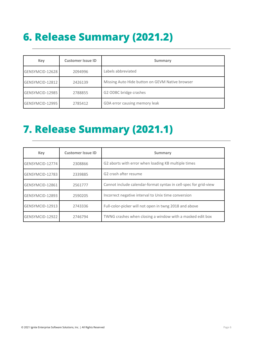# <span id="page-6-0"></span>**6. Release Summary (2021.2)**

| <b>Key</b>      | <b>Customer Issue ID</b> | Summary                                         |  |  |  |
|-----------------|--------------------------|-------------------------------------------------|--|--|--|
| GENSYMCID-12628 | 2094996                  | Labels abbreviated                              |  |  |  |
| GENSYMCID-12812 | 2426139                  | Missing Auto Hide button on GEVM Native browser |  |  |  |
| GENSYMCID-12985 | 2788855                  | G2 ODBC bridge crashes                          |  |  |  |
| GENSYMCID-12995 | 2785412                  | GDA error causing memory leak                   |  |  |  |

## <span id="page-6-1"></span>**7. Release Summary (2021.1)**

| Key             | <b>Customer Issue ID</b> | Summary                                                          |  |  |
|-----------------|--------------------------|------------------------------------------------------------------|--|--|
| GENSYMCID-12774 | 2308866                  | G2 aborts with error when loading KB multiple times              |  |  |
| GENSYMCID-12783 | 2339885                  | G2 crash after resume                                            |  |  |
| GENSYMCID-12861 | 2561777                  | Cannot include calendar-format syntax in cell-spec for grid-view |  |  |
| GENSYMCID-12893 | 2590205                  | Incorrect negative interval to Unix time conversion              |  |  |
| GENSYMCID-12913 | 2743336                  | Full-color-picker will not open in twng 2018 and above           |  |  |
| GENSYMCID-12922 | 2746794                  | TWNG crashes when closing a window with a masked edit box        |  |  |